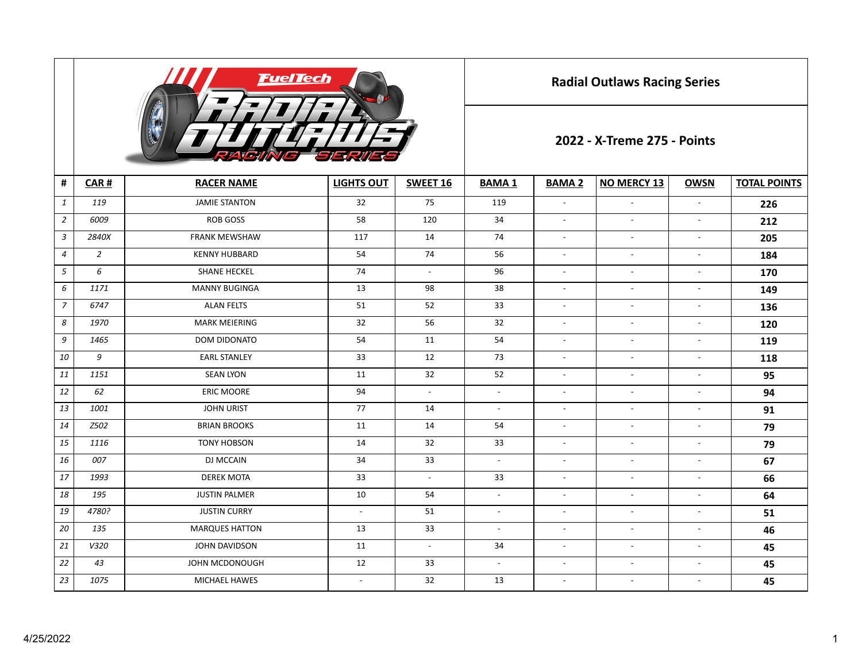

**Radial Outlaws Racing Series**

## **2022 - X-Treme 275 - Points**

| #              | CAR#           | <b>RACER NAME</b>     | <b>LIGHTS OUT</b>        | SWEET 16                 | <b>BAMA1</b>             | <b>BAMA 2</b>            | <b>NO MERCY 13</b>       | <b>OWSN</b>              | <b>TOTAL POINTS</b> |  |  |
|----------------|----------------|-----------------------|--------------------------|--------------------------|--------------------------|--------------------------|--------------------------|--------------------------|---------------------|--|--|
| $\mathbf{1}$   | 119            | <b>JAMIE STANTON</b>  | 32                       | 75                       | 119                      | $\overline{\phantom{a}}$ | $\overline{\phantom{a}}$ |                          | 226                 |  |  |
| $\overline{2}$ | 6009           | <b>ROB GOSS</b>       | 58                       | 120                      | 34                       | $\overline{\phantom{a}}$ | $\overline{\phantom{a}}$ | $\overline{\phantom{a}}$ | 212                 |  |  |
| $\mathfrak{Z}$ | 2840X          | <b>FRANK MEWSHAW</b>  | 117                      | 14                       | 74                       | $\overline{\phantom{a}}$ | $\overline{a}$           | $\overline{\phantom{a}}$ | 205                 |  |  |
| $\overline{4}$ | $\overline{2}$ | <b>KENNY HUBBARD</b>  | 54                       | 74                       | 56                       | $\overline{\phantom{a}}$ | $\overline{\phantom{a}}$ | $\overline{\phantom{a}}$ | 184                 |  |  |
| 5              | 6              | <b>SHANE HECKEL</b>   | 74                       | $\overline{\phantom{a}}$ | 96                       | $\overline{\phantom{a}}$ | $\overline{\phantom{a}}$ | $\overline{\phantom{a}}$ | 170                 |  |  |
| 6              | 1171           | <b>MANNY BUGINGA</b>  | 13                       | 98                       | 38                       | $\overline{\phantom{a}}$ | $\overline{\phantom{a}}$ | $\overline{\phantom{a}}$ | 149                 |  |  |
| $\overline{7}$ | 6747           | <b>ALAN FELTS</b>     | 51                       | 52                       | 33                       | $\overline{\phantom{a}}$ | $\overline{\phantom{a}}$ | $\overline{\phantom{a}}$ | 136                 |  |  |
| 8              | 1970           | <b>MARK MEIERING</b>  | 32                       | 56                       | 32                       | $\overline{\phantom{a}}$ | $\overline{\phantom{a}}$ | $\overline{\phantom{a}}$ | 120                 |  |  |
| 9              | 1465           | <b>DOM DIDONATO</b>   | 54                       | 11                       | 54                       | $\overline{\phantom{a}}$ | $\overline{\phantom{a}}$ | $\overline{\phantom{a}}$ | 119                 |  |  |
| 10             | 9              | <b>EARL STANLEY</b>   | 33                       | 12                       | 73                       | $\overline{\phantom{a}}$ | $\sim$                   | $\overline{\phantom{a}}$ | 118                 |  |  |
| 11             | 1151           | <b>SEAN LYON</b>      | 11                       | 32                       | 52                       | $\overline{\phantom{a}}$ | $\overline{\phantom{a}}$ | $\overline{\phantom{a}}$ | 95                  |  |  |
| 12             | 62             | <b>ERIC MOORE</b>     | 94                       | $\blacksquare$           | $\overline{\phantom{a}}$ | $\overline{\phantom{a}}$ | $\overline{\phantom{a}}$ | $\overline{\phantom{a}}$ | 94                  |  |  |
| 13             | 1001           | <b>JOHN URIST</b>     | 77                       | 14                       | $\blacksquare$           | $\overline{\phantom{a}}$ | $\sim$                   | $\overline{\phantom{a}}$ | 91                  |  |  |
| 14             | Z502           | <b>BRIAN BROOKS</b>   | 11                       | 14                       | 54                       | $\overline{\phantom{a}}$ | $\sim$                   | $\overline{\phantom{a}}$ | 79                  |  |  |
| 15             | 1116           | <b>TONY HOBSON</b>    | 14                       | 32                       | 33                       | $\sim$                   | $\sim$                   | $\overline{\phantom{a}}$ | 79                  |  |  |
| 16             | 007            | DJ MCCAIN             | 34                       | 33                       | $\blacksquare$           | $\sim$                   | $\sim$                   | $\overline{\phantom{a}}$ | 67                  |  |  |
| 17             | 1993           | <b>DEREK MOTA</b>     | 33                       | $\blacksquare$           | 33                       | $\overline{\phantom{a}}$ | $\overline{\phantom{a}}$ | $\overline{\phantom{a}}$ | 66                  |  |  |
| 18             | 195            | <b>JUSTIN PALMER</b>  | 10                       | 54                       | $\sim$                   | $\sim$                   | $\overline{\phantom{a}}$ | $\overline{\phantom{a}}$ | 64                  |  |  |
| 19             | 4780?          | <b>JUSTIN CURRY</b>   | $\overline{\phantom{a}}$ | 51                       | $\overline{\phantom{a}}$ | $\overline{\phantom{a}}$ | $\overline{\phantom{a}}$ | $\overline{\phantom{a}}$ | 51                  |  |  |
| 20             | 135            | <b>MARQUES HATTON</b> | 13                       | 33                       | $\overline{\phantom{a}}$ | $\sim$                   | $\overline{\phantom{a}}$ | $\overline{\phantom{a}}$ | 46                  |  |  |
| 21             | V320           | JOHN DAVIDSON         | 11                       | $\overline{\phantom{a}}$ | 34                       | $\overline{a}$           | $\overline{a}$           | $\overline{\phantom{a}}$ | 45                  |  |  |
| 22             | 43             | JOHN MCDONOUGH        | 12                       | 33                       | $\overline{\phantom{a}}$ | $\overline{\phantom{a}}$ | $\overline{\phantom{a}}$ | $\overline{\phantom{a}}$ | 45                  |  |  |
| 23             | 1075           | <b>MICHAEL HAWES</b>  | $\overline{\phantom{a}}$ | 32                       | 13                       | $\overline{\phantom{a}}$ | $\overline{\phantom{a}}$ | $\overline{\phantom{a}}$ | 45                  |  |  |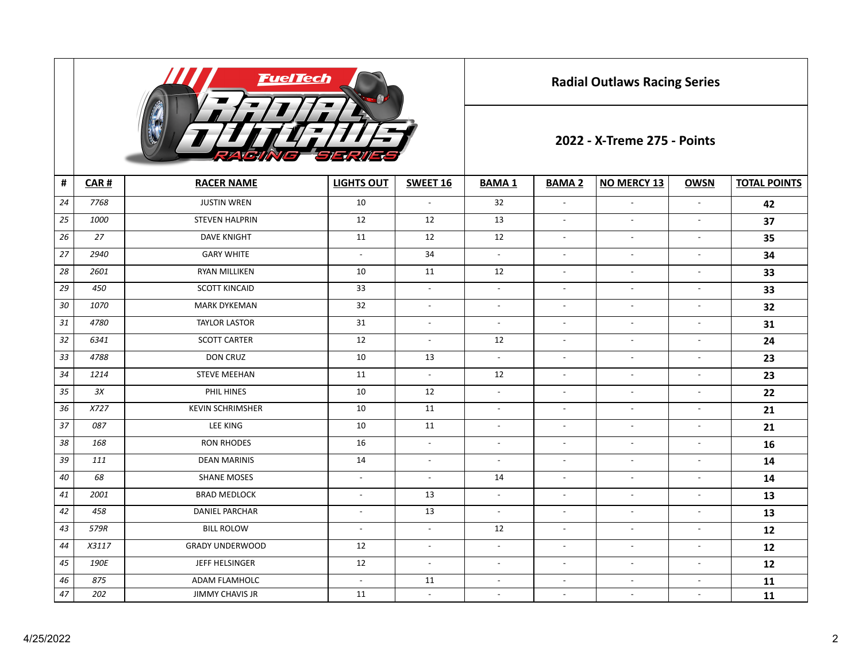

**Radial Outlaws Racing Series**

## **2022 - X-Treme 275 - Points**

| #      | CAR#  | <b>RACER NAME</b>       | <b>LIGHTS OUT</b>        | <b>SWEET 16</b>          | <b>BAMA1</b>             | <b>BAMA 2</b>            | <b>NO MERCY 13</b>       | <b>OWSN</b>              | <b>TOTAL POINTS</b> |
|--------|-------|-------------------------|--------------------------|--------------------------|--------------------------|--------------------------|--------------------------|--------------------------|---------------------|
| 24     | 7768  | <b>JUSTIN WREN</b>      | 10                       | $\sim$                   | 32                       | $\sim$                   | $\overline{\phantom{a}}$ | $\overline{a}$           | 42                  |
| 25     | 1000  | <b>STEVEN HALPRIN</b>   | 12                       | 12                       | 13                       | $\mathbb{L}$             | $\overline{\phantom{a}}$ | $\blacksquare$           | 37                  |
| 26     | 27    | <b>DAVE KNIGHT</b>      | 11                       | 12                       | 12                       | $\overline{\phantom{a}}$ | $\overline{\phantom{a}}$ | $\overline{\phantom{a}}$ | 35                  |
| 27     | 2940  | <b>GARY WHITE</b>       | $\sim$                   | 34                       | $\sim$                   | $\overline{\phantom{a}}$ | $\overline{\phantom{a}}$ | $\overline{\phantom{a}}$ | 34                  |
| 28     | 2601  | RYAN MILLIKEN           | 10                       | 11                       | 12                       | $\blacksquare$           | $\blacksquare$           | $\blacksquare$           | 33                  |
| 29     | 450   | <b>SCOTT KINCAID</b>    | 33                       | $\overline{\phantom{a}}$ | $\blacksquare$           | $\blacksquare$           | $\blacksquare$           | $\overline{\phantom{a}}$ | 33                  |
| 30     | 1070  | <b>MARK DYKEMAN</b>     | 32                       | $\sim$                   | $\blacksquare$           | $\overline{\phantom{a}}$ | $\mathbb{L}$             | $\overline{\phantom{a}}$ | 32                  |
| 31     | 4780  | <b>TAYLOR LASTOR</b>    | 31                       | $\mathbb{L}$             | $\blacksquare$           | $\blacksquare$           | $\mathbb{L}$             | $\overline{\phantom{a}}$ | 31                  |
| 32     | 6341  | <b>SCOTT CARTER</b>     | 12                       | $\blacksquare$           | 12                       | $\blacksquare$           | $\overline{\phantom{a}}$ | $\overline{\phantom{a}}$ | 24                  |
| 33     | 4788  | <b>DON CRUZ</b>         | 10                       | 13                       | $\sim$                   | $\overline{\phantom{a}}$ | $\overline{\phantom{a}}$ | $\overline{\phantom{a}}$ | 23                  |
| 34     | 1214  | <b>STEVE MEEHAN</b>     | 11                       | $\blacksquare$           | 12                       | $\overline{\phantom{a}}$ | $\overline{\phantom{a}}$ | $\blacksquare$           | 23                  |
| 35     | 3X    | PHIL HINES              | 10                       | 12                       | $\blacksquare$           | $\blacksquare$           | $\blacksquare$           | $\blacksquare$           | 22                  |
| 36     | X727  | <b>KEVIN SCHRIMSHER</b> | 10                       | 11                       | $\blacksquare$           | $\blacksquare$           | $\blacksquare$           | $\overline{\phantom{a}}$ | 21                  |
| 37     | 087   | <b>LEE KING</b>         | 10                       | 11                       | $\overline{\phantom{a}}$ | $\overline{\phantom{a}}$ | $\blacksquare$           | $\overline{\phantom{a}}$ | 21                  |
| 38     | 168   | <b>RON RHODES</b>       | 16                       | $\overline{\phantom{a}}$ | $-$                      | $\overline{\phantom{a}}$ | $\overline{\phantom{a}}$ | $\overline{\phantom{a}}$ | 16                  |
| 39     | 111   | <b>DEAN MARINIS</b>     | 14                       | $\overline{\phantom{a}}$ | $\overline{\phantom{a}}$ | $\sim$                   | $\blacksquare$           | $\overline{\phantom{a}}$ | 14                  |
| 40     | 68    | <b>SHANE MOSES</b>      | $\overline{\phantom{a}}$ | $\overline{\phantom{a}}$ | 14                       | $\overline{\phantom{a}}$ | $\overline{\phantom{a}}$ | $\blacksquare$           | 14                  |
| 41     | 2001  | <b>BRAD MEDLOCK</b>     | $\overline{a}$           | 13                       | $\overline{\phantom{a}}$ | $\overline{\phantom{a}}$ | $\overline{a}$           | $\overline{\phantom{a}}$ | 13                  |
| 42     | 458   | DANIEL PARCHAR          | $\overline{\phantom{a}}$ | 13                       | $\blacksquare$           | $\overline{\phantom{a}}$ | $\overline{a}$           | $\blacksquare$           | 13                  |
| 43     | 579R  | <b>BILL ROLOW</b>       | $\overline{a}$           | $\blacksquare$           | 12                       | $\overline{\phantom{a}}$ | $\overline{a}$           | $\blacksquare$           | 12                  |
| 44     | X3117 | <b>GRADY UNDERWOOD</b>  | 12                       | $\overline{\phantom{a}}$ | $\overline{\phantom{a}}$ | $\overline{\phantom{a}}$ | $\overline{a}$           | $\blacksquare$           | 12                  |
| 45     | 190E  | JEFF HELSINGER          | 12                       | $\overline{\phantom{a}}$ | $\overline{\phantom{a}}$ | $\sim$                   | $\overline{\phantom{a}}$ | $\overline{\phantom{a}}$ | 12                  |
| 46     | 875   | ADAM FLAMHOLC           | $\overline{\phantom{a}}$ | 11                       | $\overline{\phantom{a}}$ | $\overline{\phantom{a}}$ | $\overline{a}$           | $\overline{\phantom{a}}$ | 11                  |
| $47\,$ | 202   | <b>JIMMY CHAVIS JR</b>  | 11                       | $\blacksquare$           | $\blacksquare$           | $\overline{\phantom{a}}$ | $\overline{\phantom{a}}$ | $\overline{\phantom{a}}$ | 11                  |